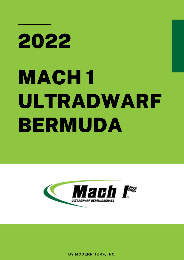# MACH 1 ULTRADWARF BERMUDA 2022



**BY MODERN TURF, INC.**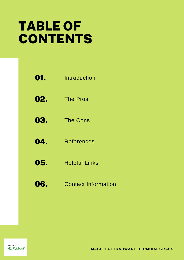## TABLE OF **CONTENTS**

| 01. |  |  | Introduction |
|-----|--|--|--------------|
|-----|--|--|--------------|

- **02.** The Pros
- **03.** The Cons
- 04. References
- **05.** Helpful Links
- **06.** Contact Information

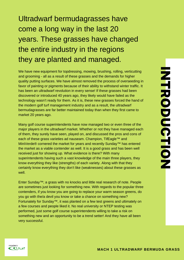### Ultradwarf bermudagrasses have come a long way in the last 20 years. These grasses have changed the entire industry in the regions they are planted and managed.

We have new equipment for topdressing, mowing, brushing, rolling, verticutting and grooming - all as a result of these grasses and the demands for higher quality putting surfaces. We have almost removed the process of overseeding in favor of painting or pigments because of their ability to withstand winter traffic. It has been an ultradwarf revolution in every sense! If these grasses had been discovered or introduced 40 years ago, they likely would have failed as the technology wasn't ready for them. As it is, these new grasses forced the hand of the modern golf turf management industry and as a result, the ultradwarf bermudagrasses are far better maintained today than when they first came to market 20 years ago.

Many golf course superintendents have now managed two or even three of the major players in the ultradwarf market. Whether or not they have managed each of them, they surely have seen, played on, and discussed the pros and cons of each of these grass varieties ad nauseam. Champion, TifEagle™ and MiniVerde® cornered the market for years and recently Sunday™ has entered the market as a viable contender as well. It is a good grass and has been well received just for showing up. What evidence is there? With many superintendents having such a vast knowledge of the main three players, they know everything they like (strengths) of each variety. Along with that they certainly know everything they don't like (weaknesses) about these grasses as well.

Enter Sunday™; a grass with no knocks and little real research of note. People are sometimes just looking for something new. With regards to the popular three contenders, if you know you are going to replace your warm season greens, do you go with the/a devil you know or take a chance on something new? Fortunately for Sunday™, it was planted on a few test greens and ultimately on a few courses and people liked it. No real university or NTEP testing was performed, just some golf course superintendents willing to take a risk on something new and an opportunity to be a trend setter! And they have all been very successful.

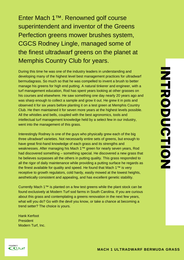Enter Mach 1™. Renowned golf course superintendent and inventor of the Greens Perfection greens mower brushes system, CGCS Rodney Lingle, managed some of the finest ultradwarf greens on the planet at Memphis Country Club for years.

During this time he was one of the industry leaders in understanding and developing many of the highest level best management practices for ultradwarf bermudagrass. So much so that he was compelled to invent a brush to better manage his greens for high end putting. A natural tinkerer and engineer, with a turf management education, Rod has spent years looking at other grasses on his courses and elsewhere. He saw something one day nearly 20 years ago and was sharp enough to collect a sample and grow it out. He grew it in pots and observed it for six years before planting it on a test green at Memphis Country Club. He then maintained it for seven more years at the highest levels possible. All the whistles and bells, coupled with the best agronomics, tools and intellectual turf management knowledge held by a select few in our industry, went into the management of this grass.

Interestingly Rodney is one of the guys who physically grew each of the big three ultradwarf varieties. Not necessarily entire sets of greens, but enough to have great first-hand knowledge of each grass and its strengths and weaknesses. After managing his Mach 1™ green for nearly seven years, Rod had discovered something – something special. He discovered a new grass that he believes surpasses all the others in putting quality. This grass responded to all the rigor of daily maintenance while providing a putting surface he regards as the finest available for quality and speed. He found that Mach 1™ is very receptive to growth regulators, cold hardy, easily mowed at the lowest heights, aesthetically consistent and appealing, and has excellent genetic stability.

Currently Mach 1™ is planted on a few test greens while the plant stock can be found exclusively at Modern Turf sod farms in South Carolina. If you are curious about this grass and contemplating a greens renovation in the next few years, what will you do? Go with the devil you know, or take a chance at becoming a trend setter? The choice is yours.

Hank Kerfoot President Modern Turf, Inc.

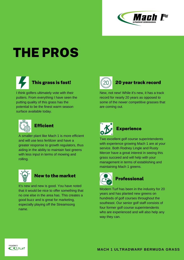

# THE PROS



I think golfers ultimately vote with their putters. From everything I have seen the putting quality of this grass has the potential to be the finest warm season surface available today.



#### **Efficient**

A smaller plant like Mach 1 is more efficient and will use less fertilizer and have a greater response to growth regulators, thus aiding in the ability to maintain fast greens with less input in terms of mowing and rolling.



#### New to the market

It's new and new is good. You have noted that it would be nice to offer something that no one else in the area has. This creates a good buzz and is great for marketing, especially playing off the Streamsong name.



#### 20 year track record

New, not new! While it's new, it has a track record for nearly 20 years as opposed to some of the newer competitive grasses that are coming out.



Two excellent golf course superintendents with experience growing Mach 1 are at your service. Both Rodney Lingle and Rusty Mercer have a great interest in seeing this grass succeed and will help with your management in terms of establishing and maintaining Mach 1 greens.



### **Professional**

Modern Turf has been in the industry for 20 years and has planted new greens on hundreds of golf courses throughout the southeast. Our senior golf staff consists of four former golf course superintendents who are experienced and will also help any way they can.

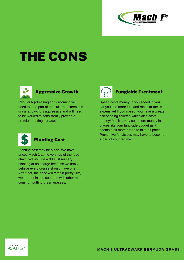

# THE CONS



### Aggressive Growth

Regular topdressing and grooming will need to be a part of the culture to keep this grass at bay. It is aggressive and will need to be worked to consistently provide a premium putting surface.



#### Planting Cost

Planting cost may be a con. We have priced Mach 1 at the very top of the food chain. We include a 3000 sf nursery planting at no charge because we firmly believe every course should have one. After that, the price will remain pretty firm, we are not in it to compete with other more common putting green grasses.



Speed costs money! If you speed in your car you use more fuel and race car fuel is expensive! If you speed, you have a greater risk of being ticketed which also costs money! Mach 1 may cost more money in places like your fungicide budget as it seems a bit more prone to take-all-patch. Preventive fungicides may have to become a part of your regime.

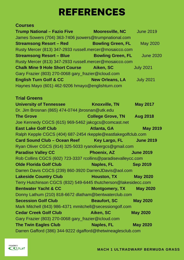### REFERENCES

#### **Courses**

| <b>Trump National - Fazio Five Mooresville, NC June 2019</b>                                                                                         |                                          |                  |  |  |  |
|------------------------------------------------------------------------------------------------------------------------------------------------------|------------------------------------------|------------------|--|--|--|
| James Sowers (704) 363-7406 jsowers@trumpnational.com                                                                                                |                                          |                  |  |  |  |
| <b>Streamsong Resort – Red Bowling Green, FL May 2020</b>                                                                                            |                                          |                  |  |  |  |
| Rusty Mercer (813) 347-2933 russell.mercer@mosaicco.com                                                                                              |                                          |                  |  |  |  |
| Streamsong Resort - Blue Bowling Green, FL                                                                                                           |                                          | <b>June 2020</b> |  |  |  |
| Rusty Mercer (813) 347-2933 russell.mercer@mosaicco.com                                                                                              |                                          |                  |  |  |  |
| <b>Chalk Mine 9 Hole Short Course Aiken, SC</b>                                                                                                      |                                          | <b>July 2021</b> |  |  |  |
| Gary Frazier (803) 270-0068 gary_frazier@icloud.com                                                                                                  |                                          |                  |  |  |  |
| English Turn Golf & CC New Orleans, LA                                                                                                               |                                          | <b>July 2021</b> |  |  |  |
| Haynes Mayo (601) 462-9206 hmayo@englishturn.com                                                                                                     |                                          |                  |  |  |  |
|                                                                                                                                                      |                                          |                  |  |  |  |
| <b>Trial Greens</b>                                                                                                                                  |                                          |                  |  |  |  |
| University of Tennessee Knoxville, TN                                                                                                                |                                          | <b>May 2017</b>  |  |  |  |
| Dr. Jim Brosnan (865) 474-0744 jbrosnan@utk.edu                                                                                                      |                                          |                  |  |  |  |
| <b>The Grove</b>                                                                                                                                     | <b>College Grove, TN Aug 2018</b>        |                  |  |  |  |
| Joe Kennedy CGCS (615) 969-5462 jakcgcs@comcast.net                                                                                                  |                                          |                  |  |  |  |
| and the state of the state of the state of the state of the state of the state of the state of the state of th<br><b>East Lake Golf Club</b>         | Atlanta, GA                              | <b>May 2019</b>  |  |  |  |
| Ralph Kepple CGCS (404) 687-2454 rkepple@eastlakegolfclub.com                                                                                        |                                          |                  |  |  |  |
| Card Sound Club - Ocean Reef Key Largo, FL June 2019                                                                                                 |                                          |                  |  |  |  |
| Ryan Oliver CGCS (914) 325-5033 ryanolivergcs@gmail.com                                                                                              |                                          |                  |  |  |  |
| <b>Paradise Valley CC</b><br>$\mathcal{L}(\mathcal{L})$ and $\mathcal{L}(\mathcal{L})$ and $\mathcal{L}(\mathcal{L})$ and $\mathcal{L}(\mathcal{L})$ | Phoenix, AZ June 2019                    |                  |  |  |  |
| Rob Collins CGCS (602) 723-3337 rcollins@paradisevalleycc.com                                                                                        |                                          |                  |  |  |  |
| <b>Olde Florida Golf Club</b>                                                                                                                        | <b>Naples, FLY, Annual Advisory 1986</b> | <b>Sep 2019</b>  |  |  |  |
| Darren Davis CGCS (239) 860-3920 DarrenJDavis@aol.com                                                                                                |                                          |                  |  |  |  |
| <b>Lakeside Country Club</b>                                                                                                                         | <b>Houston, TX</b>                       | <b>May 2020</b>  |  |  |  |
| Terry Hutchinson CGCS (832) 549-6445 thutcherson@lakesidecc.com                                                                                      |                                          |                  |  |  |  |
| <b>Bentwater Yacht &amp; CC</b>                                                                                                                      | <b>Montgomery, TX</b>                    | <b>May 2020</b>  |  |  |  |
| Donny Lathum (210) 818-6672 dlatham@bentwaterclub.com                                                                                                |                                          |                  |  |  |  |
| <b>Secession Golf Club</b>                                                                                                                           | <b>Beaufort, SC</b>                      | <b>May 2020</b>  |  |  |  |
| Mark Mitchell (843) 986-4371 mmitchell@secessiongolf.com                                                                                             |                                          |                  |  |  |  |
| <b>Cedar Creek Golf Club</b>                                                                                                                         | Aiken, SC                                | <b>May 2020</b>  |  |  |  |

Gary Frazier (803) 270-0068 gary\_frazier@icloud.com **The Twin Eagles Club Naples, FL May 2020** Darren Gafford (386) 344-9222 dgafford@thetwineaglesclub.com

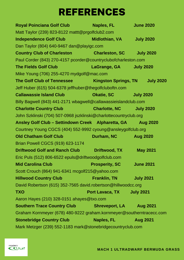### REFERENCES

| <b>Royal Poinciana Golf Club</b>                                                                                                                      | <b>Naples, FL</b>              | <b>June 2020</b> |  |  |  |
|-------------------------------------------------------------------------------------------------------------------------------------------------------|--------------------------------|------------------|--|--|--|
| Matt Taylor (239) 823-8122 mattt@prgolfclub2.com                                                                                                      |                                |                  |  |  |  |
| Independence Golf Club Midlothian, VA                                                                                                                 |                                | <b>July 2020</b> |  |  |  |
| Dan Taylor (804) 640-9467 dan@playigc.com                                                                                                             |                                |                  |  |  |  |
| <b>Country Club of Charleston Charleston, SC July 2020</b>                                                                                            |                                |                  |  |  |  |
| Paul Corder (843) 270-4157 pcorder@countryclubofcharleston.com                                                                                        |                                |                  |  |  |  |
| <b>The Fields Golf Club</b>                                                                                                                           | LaGrange, GA                   | <b>July 2020</b> |  |  |  |
| Mike Young (706) 255-4270 mydgolf@mac.com                                                                                                             |                                |                  |  |  |  |
| The Golf Club of Tennessee Kingston Springs, TN July 2020                                                                                             |                                |                  |  |  |  |
| Jeff Huber (615) 504-6378 jeffhuber@thegolfcluboftn.com                                                                                               |                                |                  |  |  |  |
| <b>Callawassie Island Club Callawassie Island Club</b>                                                                                                | Okatie, SC July 2020           |                  |  |  |  |
| Billy Bagwell (843) 441-2171 wbagwell@callawassieislandclub.com                                                                                       |                                |                  |  |  |  |
| <b>Charlotte Country Club</b>                                                                                                                         | <b>Charlotte, NC July 2020</b> |                  |  |  |  |
| John Szklinski (704) 507-0968 jszklinski@charlottecountryclub.org                                                                                     |                                |                  |  |  |  |
| Ansley Golf Club - Settindown Creek Alpharetta, GA Aug 2020                                                                                           |                                |                  |  |  |  |
| Courtney Young CGCS (404) 552-9992 cyoung@ansleygolfclub.org                                                                                          |                                |                  |  |  |  |
| <b>Old Chatham Golf Club</b>                                                                                                                          | <b>Durham, NC</b>              | <b>Aug 2020</b>  |  |  |  |
| <b>Brian Powell CGCS (919) 623-1174</b>                                                                                                               |                                |                  |  |  |  |
| <b>Driftwood Golf and Ranch Club Conduct Driftwood, TX</b>                                                                                            |                                | <b>May 2021</b>  |  |  |  |
| Eric Puls (512) 806-6522 epuls@driftwoodgolfclub.com                                                                                                  |                                |                  |  |  |  |
| <b>Mid Carolina Club</b>                                                                                                                              | <b>Prosperity, SC</b>          | <b>June 2021</b> |  |  |  |
| Scott Crouch (864) 941-6341 mcgolf215@yahoo.com                                                                                                       |                                |                  |  |  |  |
| <b>Contract Contract Contract Contract Contract Contract Contract Contract Contract Contract Contract Contract Co</b><br><b>Hillwood Country Club</b> | <b>Franklin, TN July 2021</b>  |                  |  |  |  |
| David Robertson (615) 352-7565 david.robertson@hillwoodcc.org                                                                                         |                                |                  |  |  |  |
| <b>TXO</b>                                                                                                                                            | Port Lavaca, TX July 2021      |                  |  |  |  |
| Aaron Hayes (210) 328-0151 ahayes@txo.com                                                                                                             |                                |                  |  |  |  |
| Southern Trace Country Club Shreveport, LA Aug 2021                                                                                                   |                                |                  |  |  |  |
| Graham Kornmeyer (678) 480-9222 graham.kornmeyer@southerntracecc.com                                                                                  |                                |                  |  |  |  |
| <b>Stonebridge Country Club</b>                                                                                                                       | <b>Naples, FLANNING</b>        | <b>Aug 2021</b>  |  |  |  |
| Mark Metzger (239) 552-1183 mark@stonebridgecountryclub.com                                                                                           |                                |                  |  |  |  |

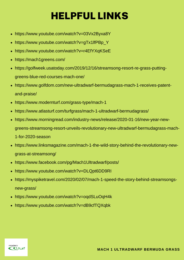### HELPFUL LINKS

- <https://www.youtube.com/watch?v=03Vx2Byxa8Y>  $\bullet$
- [https://www.youtube.com/watch?v=gTx1lfPBp\\_Y](https://www.youtube.com/watch?v=gTx1lfPBp_Y)
- https://www.youtube.com/watch?v=r4EfYXqKSeE
- <https://mach1greens.com/>
- [https://golfweek.usatoday.com/2019/12/16/streamsong-resort-re-grass-putting](https://golfweek.usatoday.com/2019/12/16/streamsong-resort-re-grass-putting-greens-blue-red-courses-mach-one/)greens-blue-red-courses-mach-one/
- [https://www.golfdom.com/new-ultradwarf-bermudagrass-mach-1-receives-patent](https://www.golfdom.com/new-ultradwarf-bermudagrass-mach-1-receives-patent-and-praise/)and-praise/
- <https://www.modernturf.com/grass-type/mach-1>
- <https://www.atlasturf.com/turfgrass/mach-1-ultradwarf-bermudagrass/>
- https://www.morningread.com/industry-news/release/2020-01-16/new-year-new[greens-streamsong-resort-unveils-revolutionary-new-ultradwarf-bermudagrass-mach-](https://www.morningread.com/industry-news/release/2020-01-16/new-year-new-greens-streamsong-resort-unveils-revolutionary-new-ultradwarf-bermudagrass-mach-1-for-2020-season)1-for-2020-season
- [https://www.linksmagazine.com/mach-1-the-wild-story-behind-the-revolutionary-new](https://www.linksmagazine.com/mach-1-the-wild-story-behind-the-revolutionary-new-grass-at-streamsong/)grass-at-streamsong/
- <https://www.facebook.com/pg/Mach1Ultradwarf/posts/>
- <https://www.youtube.com/watch?v=DLQpt6DD9RI>
- [https://myspiketravel.com/2020/02/07/mach-1-speed-the-story-behind-streamsongs](https://myspiketravel.com/2020/02/07/mach-1-speed-the-story-behind-streamsongs-new-grass/)new-grass/
- <https://www.youtube.com/watch?v=oqdSLuOqH4k>
- <https://www.youtube.com/watch?v=dB9cfTQXqbk>